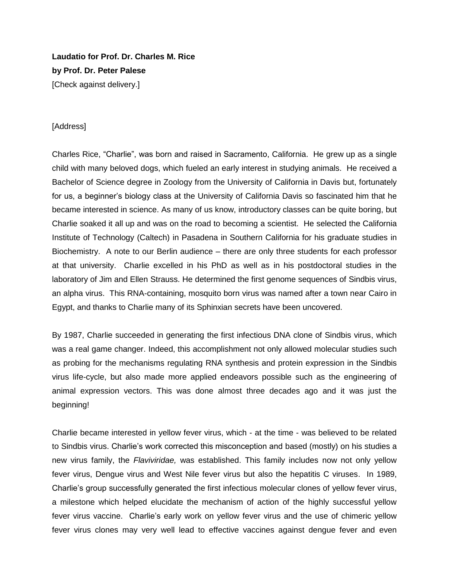**Laudatio for Prof. Dr. Charles M. Rice by Prof. Dr. Peter Palese** [Check against delivery.]

## [Address]

Charles Rice, "Charlie", was born and raised in Sacramento, California. He grew up as a single child with many beloved dogs, which fueled an early interest in studying animals. He received a Bachelor of Science degree in Zoology from the University of California in Davis but, fortunately for us, a beginner's biology class at the University of California Davis so fascinated him that he became interested in science. As many of us know, introductory classes can be quite boring, but Charlie soaked it all up and was on the road to becoming a scientist. He selected the California Institute of Technology (Caltech) in Pasadena in Southern California for his graduate studies in Biochemistry. A note to our Berlin audience – there are only three students for each professor at that university. Charlie excelled in his PhD as well as in his postdoctoral studies in the laboratory of Jim and Ellen Strauss. He determined the first genome sequences of Sindbis virus, an alpha virus. This RNA-containing, mosquito born virus was named after a town near Cairo in Egypt, and thanks to Charlie many of its Sphinxian secrets have been uncovered.

By 1987, Charlie succeeded in generating the first infectious DNA clone of Sindbis virus, which was a real game changer. Indeed, this accomplishment not only allowed molecular studies such as probing for the mechanisms regulating RNA synthesis and protein expression in the Sindbis virus life-cycle, but also made more applied endeavors possible such as the engineering of animal expression vectors. This was done almost three decades ago and it was just the beginning!

Charlie became interested in yellow fever virus, which - at the time - was believed to be related to Sindbis virus. Charlie's work corrected this misconception and based (mostly) on his studies a new virus family, the *Flaviviridae,* was established. This family includes now not only yellow fever virus, Dengue virus and West Nile fever virus but also the hepatitis C viruses. In 1989, Charlie's group successfully generated the first infectious molecular clones of yellow fever virus, a milestone which helped elucidate the mechanism of action of the highly successful yellow fever virus vaccine. Charlie's early work on yellow fever virus and the use of chimeric yellow fever virus clones may very well lead to effective vaccines against dengue fever and even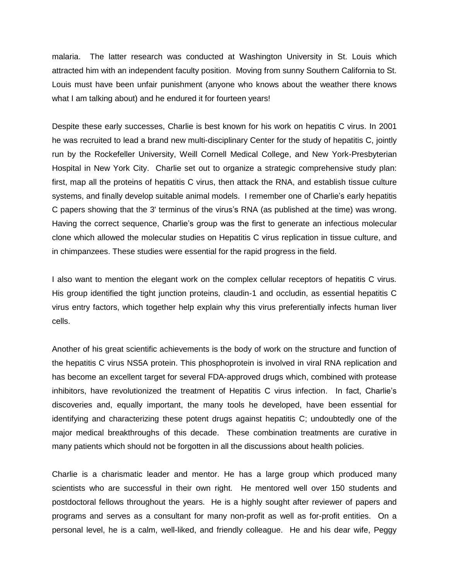malaria. The latter research was conducted at Washington University in St. Louis which attracted him with an independent faculty position. Moving from sunny Southern California to St. Louis must have been unfair punishment (anyone who knows about the weather there knows what I am talking about) and he endured it for fourteen years!

Despite these early successes, Charlie is best known for his work on hepatitis C virus. In 2001 he was recruited to lead a brand new multi-disciplinary Center for the study of hepatitis C, jointly run by the Rockefeller University, Weill Cornell Medical College, and New York-Presbyterian Hospital in New York City. Charlie set out to organize a strategic comprehensive study plan: first, map all the proteins of hepatitis C virus, then attack the RNA, and establish tissue culture systems, and finally develop suitable animal models. I remember one of Charlie's early hepatitis C papers showing that the 3' terminus of the virus's RNA (as published at the time) was wrong. Having the correct sequence, Charlie's group was the first to generate an infectious molecular clone which allowed the molecular studies on Hepatitis C virus replication in tissue culture, and in chimpanzees. These studies were essential for the rapid progress in the field.

I also want to mention the elegant work on the complex cellular receptors of hepatitis C virus. His group identified the tight junction proteins, claudin-1 and occludin, as essential hepatitis C virus entry factors, which together help explain why this virus preferentially infects human liver cells.

Another of his great scientific achievements is the body of work on the structure and function of the hepatitis C virus NS5A protein. This phosphoprotein is involved in viral RNA replication and has become an excellent target for several FDA-approved drugs which, combined with protease inhibitors, have revolutionized the treatment of Hepatitis C virus infection. In fact, Charlie's discoveries and, equally important, the many tools he developed, have been essential for identifying and characterizing these potent drugs against hepatitis C; undoubtedly one of the major medical breakthroughs of this decade. These combination treatments are curative in many patients which should not be forgotten in all the discussions about health policies.

Charlie is a charismatic leader and mentor. He has a large group which produced many scientists who are successful in their own right. He mentored well over 150 students and postdoctoral fellows throughout the years. He is a highly sought after reviewer of papers and programs and serves as a consultant for many non-profit as well as for-profit entities. On a personal level, he is a calm, well-liked, and friendly colleague. He and his dear wife, Peggy